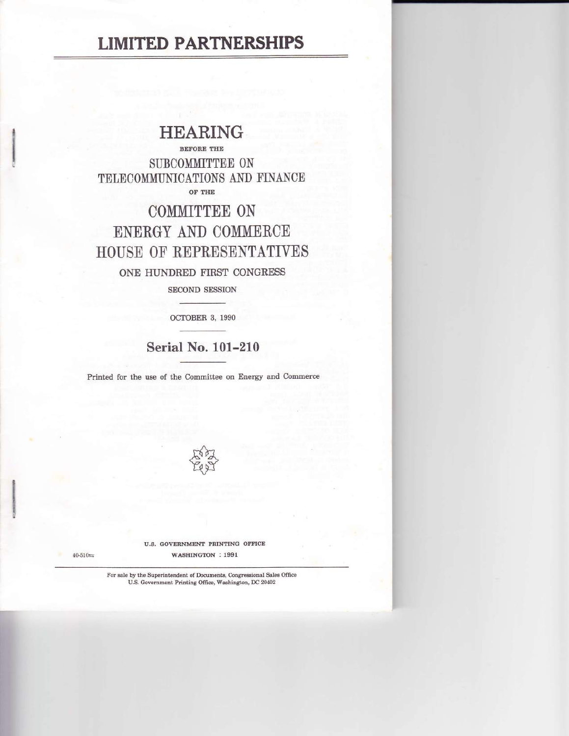## **LIMITED PARTNERSHIPS**

## **HEARING**

**BEFORE THE** SURCOMMITTEE ON TELECOMMUNICATIONS AND FINANCE OF THE

# COMMITTEE ON ENERGY AND COMMERCE HOUSE OF REPRESENTATIVES ONE HUNDRED FIRST CONGRESS

**SECOND SESSION** 

OCTOBER 3, 1990

### **Serial No. 101-210**

Printed for the use of the Committee on Energy and Commerce



U.S. GOVERNMENT PRINTING OFFICE WASHINGTON : 1991

 $40 - 510 + 4$ 

For sale by the Superintendent of Documents, Congressional Sales Office U.S. Government Printing Office, Washington, DC 20402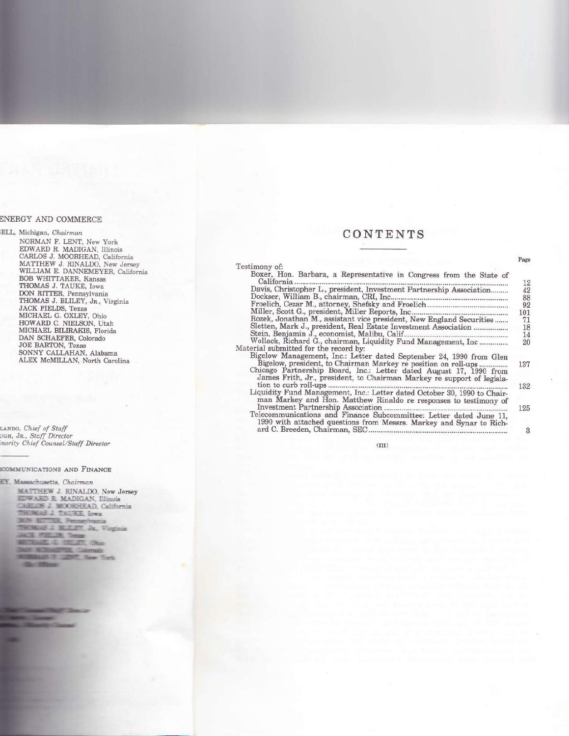### CONTENTS

Page

| Boxer, Hon. Barbara, a Representative in Congress from the State of                                                                          |
|----------------------------------------------------------------------------------------------------------------------------------------------|
| 12<br>Davis, Christopher L., president, Investment Partnership Association                                                                   |
| 42                                                                                                                                           |
| 88                                                                                                                                           |
| 92                                                                                                                                           |
| 101                                                                                                                                          |
| Rozek, Jonathan M., assistant vice president, New England Securities<br>71                                                                   |
| Sletten, Mark J., president, Real Estate Investment Association<br>18                                                                        |
| 14                                                                                                                                           |
| Wollack, Richard G., chairman, Liquidity Fund Management, Inc<br>20                                                                          |
|                                                                                                                                              |
| Bigelow Management, Inc.: Letter dated September 24, 1990 from Glen<br>Bigelow, president, to Chairman Markey re position on roll-ups<br>137 |
| Chicago Partnership Board, Inc.: Letter dated August 17, 1990 from<br>James Frith, Jr., president, to Chairman Markey re support of legisla- |
| 132                                                                                                                                          |
| Liquidity Fund Management, Inc.: Letter dated October 30, 1990 to Chair-                                                                     |
| man Markey and Hon. Matthew Rinaldo re responses to testimony of                                                                             |
| 125                                                                                                                                          |
| Telecommunications and Finance Subcommittee: Letter dated June 11,<br>1990 with attached questions from Messrs. Markey and Synar to Rich-    |
| 3                                                                                                                                            |
|                                                                                                                                              |

 $(III)$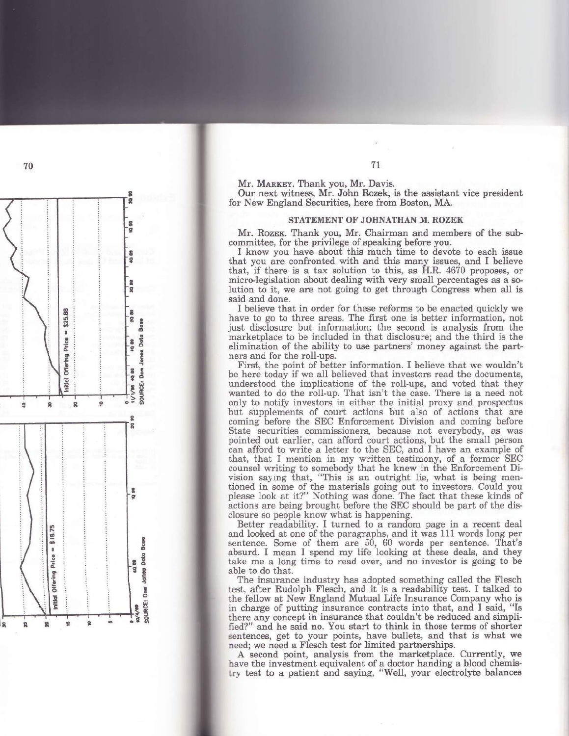Mr. MARKEY. Thank you, Mr. Davis.

Our next witness, Mr. John Rozek, is the assistant vice president for New England Securities, here from Boston, MA.

#### STATEMENT OF JOHNATHAN M. ROZEK

Mr. ROZEK. Thank you, Mr. Chairman and members of the subcommittee, for the privilege of speaking before you.

I know you have about this much time to devote to each issue that you are confronted with and this many issues, and I believe that, if there is a tax solution to this, as H.R. 4670 proposes, or micro-legislation about dealing with very small percentages as a solution to it, we are not going to get through Congress when all is said and done.

I believe that in order for these reforms to be enacted quickly we have to go to three areas. The first one is better information, not just disclosure but information; the second is analysis from the marketplace to be included in that disclosure; and the third is the elimination of the ability to use partners' money against the partners and for the roll-ups.

First, the point of better information. I believe that we wouldn't be here today if we all believed that investors read the documents, understood the implications of the roll-ups, and voted that they wanted to do the roll-up. That isn't the case. There is a need not only to notify investors in either the initial proxy and prospectus but supplements of court actions but also of actions that are coming before the SEC Enforcement Division and coming before State securities commissioners, because not everybody, as was pointed out earlier, can afford court actions, but the small person can afford to write a letter to the SEC, and I have an example of that, that I mention in my written testimony, of a former SEC counsel writing to somebody that he knew in the Enforcement Division saying that, "This is an outright lie, what is being mentioned in some of the materials going out to investors. Could you please look at it?" Nothing was done. The fact that these kinds of actions are being brought before the SEC should be part of the disclosure so people know what is happening.

Better readability. I turned to a random page in a recent deal and looked at one of the paragraphs, and it was 111 words long per sentence. Some of them are 50, 60 words per sentence. That's absurd. I mean I spend my life looking at these deals, and they take me a long time to read over, and no investor is going to be able to do that.

The insurance industry has adopted something called the Flesch test, after Rudolph Flesch, and it is a readability test. I talked to the fellow at New England Mutual Life Insurance Company who is in charge of putting insurance contracts into that, and I said, "Is there any concept in insurance that couldn't be reduced and simplified?" and he said no. You start to think in those terms of shorter sentences, get to your points, have bullets, and that is what we need; we need a Flesch test for limited partnerships.

A second point, analysis from the marketplace. Currently, we have the investment equivalent of a doctor handing a blood chemistry test to a patient and saying, "Well, your electrolyte balances